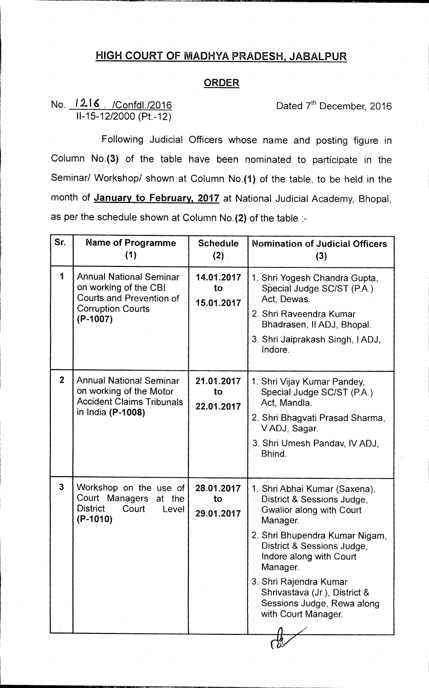## **HIGH COURT OF MADHYA PRADESH, JABALPUR**

## **ORDER**

## **No. 1216** / *Confdl./2016* **<b>Dated 7<sup>th</sup> December, 2016 11-15-12/2000 (Pt.-12)**

**Following Judicial Officers whose name and posting figure in Column No.(3) of the table have been nominated to participate in the Seminar/ Workshop/ shown at Column No.(1) of the table, to be held in the month of January to February, 2017 at National Judicial Academy, Bhopal, as per the schedule shown at Column No.(2) of the table :-** 

| Sr.            | <b>Name of Programme</b><br>(1)                                                                                               | <b>Schedule</b><br>(2)         | <b>Nomination of Judicial Officers</b><br>(3)                                                                                                                                                                                                                                                                              |
|----------------|-------------------------------------------------------------------------------------------------------------------------------|--------------------------------|----------------------------------------------------------------------------------------------------------------------------------------------------------------------------------------------------------------------------------------------------------------------------------------------------------------------------|
| 1              | <b>Annual National Seminar</b><br>on working of the CBI<br>Courts and Prevention of<br><b>Corruption Courts</b><br>$(P-1007)$ | 14.01.2017<br>to<br>15.01.2017 | 1. Shri Yogesh Chandra Gupta,<br>Special Judge SC/ST (P.A.)<br>Act, Dewas.<br>2. Shri Raveendra Kumar<br>Bhadrasen, II ADJ, Bhopal.<br>3. Shri Jaiprakash Singh, IADJ,<br>Indore.                                                                                                                                          |
| 2 <sup>1</sup> | <b>Annual National Seminar</b><br>on working of the Motor<br><b>Accident Claims Tribunals</b><br>in India (P-1008)            | 21.01.2017<br>to<br>22.01.2017 | 1. Shri Vijay Kumar Pandey,<br>Special Judge SC/ST (P.A.)<br>Act, Mandla.<br>2. Shri Bhagvati Prasad Sharma,<br>VADJ, Sagar.<br>3. Shri Umesh Pandav, IV ADJ,<br>Bhind.                                                                                                                                                    |
| $\overline{3}$ | Workshop on the use of<br>Court Managers at the<br><b>District</b><br>Court<br>Level<br>$(P-1010)$                            | 28.01.2017<br>to<br>29.01.2017 | 1. Shri Abhai Kumar (Saxena),<br>District & Sessions Judge,<br>Gwalior along with Court<br>Manager.<br>2. Shri Bhupendra Kumar Nigam,<br>District & Sessions Judge,<br>Indore along with Court<br>Manager.<br>3. Shri Rajendra Kumar<br>Shrivastava (Jr.), District &<br>Sessions Judge, Rewa along<br>with Court Manager. |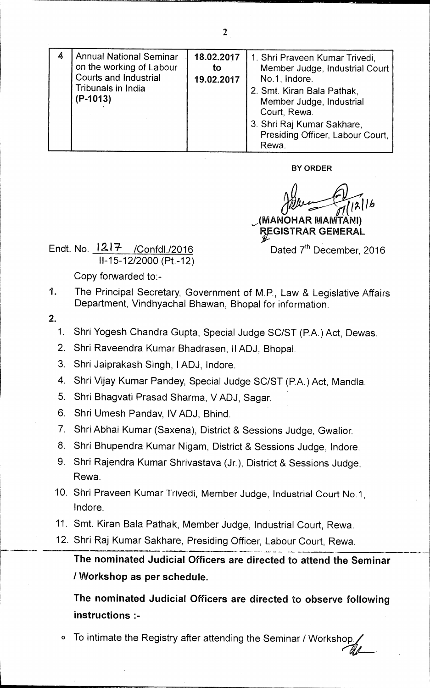| 4 | <b>Annual National Seminar</b><br>on the working of Labour<br><b>Courts and Industrial</b><br>Tribunals in India<br>(P-1013) | 18.02.2017<br>to<br>19.02.2017 | 1. Shri Praveen Kumar Trivedi,<br>Member Judge, Industrial Court<br>No.1, Indore.<br>2. Smt. Kiran Bala Pathak,<br>Member Judge, Industrial<br>Court, Rewa. |
|---|------------------------------------------------------------------------------------------------------------------------------|--------------------------------|-------------------------------------------------------------------------------------------------------------------------------------------------------------|
|   |                                                                                                                              |                                | 3. Shri Raj Kumar Sakhare,<br>Presiding Officer, Labour Court,<br>Rewa.                                                                                     |

**BY ORDER** 

**getting the Community of COMPANI)** 

**REGISTRAR GENERAL** 

Endt. No.  $1217$  /Confdl./2016 Dated 7<sup>th</sup> December, 2016 11-15-12/2000 (Pt.-12)

Copy forwarded to:-

- 1. The Principal Secretary, Government of M.P., Law & Legislative Affairs Department, Vindhyachal Bhawan, Bhopal for information.
- **2.** 
	- 1. Shri Yogesh Chandra Gupta, Special Judge SC/ST (P.A.) Act, Dewas.
	- 2. Shri Raveendra Kumar Bhadrasen, II ADJ, Bhopal.
	- 3. Shri Jaiprakash Singh, 1ADJ, Indore.
	- 4. Shri Vijay Kumar Pandey, Special Judge SC/ST (P.A.) Act, Mandla.
	- 5. Shri Bhagvati Prasad Sharma, V ADJ, Sagar.
	- 6. Shri Umesh Pandav, IV ADJ, Bhind.
	- 7. Shri Abhai Kumar (Saxena), District & Sessions Judge, Gwalior.
	- 8. Shri Bhupendra Kumar Nigam, District & Sessions Judge, Indore.
	- 9. Shri Rajendra Kumar Shrivastava (Jr.), District & Sessions Judge, Rewa.
	- 10. Shri Praveen Kumar Trivedi, Member Judge, Industrial Court No.1, Indore.
	- 11. Smt. Kiran Bala Pathak, Member Judge, Industrial Court, Rewa.
	- 12 Shri Raj Kumar Sakhare, Presiding Officer, Labour Court, Rewa.

**The nominated Judicial Officers are directed to attend the Seminar / Workshop as per schedule.** 

**The nominated Judicial Officers are directed to observe following instructions :-** 

To intimate the Registry after attending the Seminar / Workshop